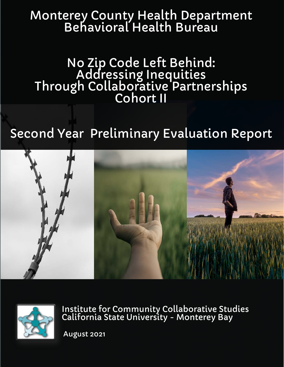# Monterey County Health Department Behavioral Health Bureau

No Zip Code Left Behind: Addressing Inequities Through Collaborative Partnerships Cohort II

# Second Year Preliminary Evaluation Report





Institute for Community Collaborative Studies California State University - Monterey Bay

August 2021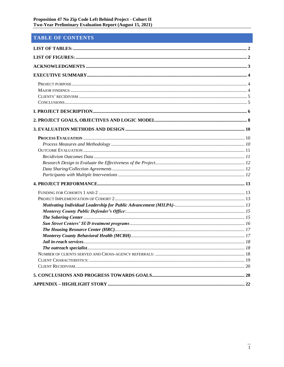# TABLE OF CONTENTS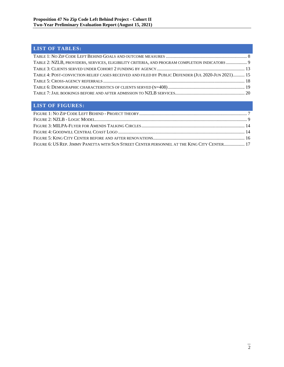# <span id="page-2-0"></span>**LIST OF TABLES:**

| TABLE 2: NZLB, PROVIDERS, SERVICES, ELIGIBILITY CRITERIA, AND PROGRAM COMPLETION INDICATORS  9     |  |
|----------------------------------------------------------------------------------------------------|--|
|                                                                                                    |  |
| TABLE 4: POST-CONVICTION RELIEF CASES RECEIVED AND FILED BY PUBLIC DEFENDER (JUL 2020-JUN 2021) 15 |  |
|                                                                                                    |  |
|                                                                                                    |  |
|                                                                                                    |  |
|                                                                                                    |  |

# <span id="page-2-1"></span>**LIST OF FIGURES:**

| FIGURE 6: US REP. JIMMY PANETTA WITH SUN STREET CENTER PERSONNEL AT THE KING CITY CENTER 17 |  |
|---------------------------------------------------------------------------------------------|--|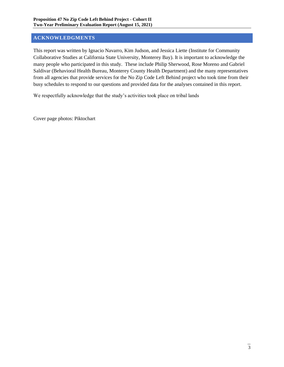# <span id="page-3-0"></span>**ACKNOWLEDGMENTS**

This report was written by Ignacio Navarro, Kim Judson, and Jessica Liette (Institute for Community Collaborative Studies at California State University, Monterey Bay). It is important to acknowledge the many people who participated in this study. These include Philip Sherwood, Rose Moreno and Gabriel Saldivar (Behavioral Health Bureau, Monterey County Health Department) and the many representatives from all agencies that provide services for the No Zip Code Left Behind project who took time from their busy schedules to respond to our questions and provided data for the analyses contained in this report.

We respectfully acknowledge that the study's activities took place on tribal lands

Cover page photos: Piktochart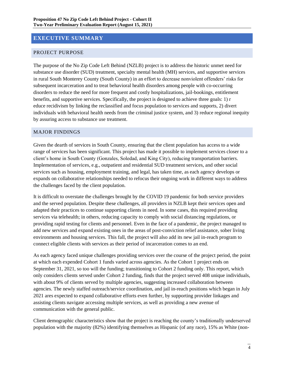# <span id="page-4-0"></span>**EXECUTIVE SUMMARY**

## <span id="page-4-1"></span>PROJECT PURPOSE

The purpose of the No Zip Code Left Behind (NZLB) project is to address the historic unmet need for substance use disorder (SUD) treatment, specialty mental health (MH) services, and supportive services in rural South Monterey County (South County) in an effort to decrease nonviolent offenders' risks for subsequent incarceration and to treat behavioral health disorders among people with co-occurring disorders to reduce the need for more frequent and costly hospitalizations, jail-bookings, entitlement benefits, and supportive services. Specifically, the project is designed to achieve three goals: 1) r educe recidivism by linking the reclassified and focus population to services and supports, 2) divert individuals with behavioral health needs from the criminal justice system, and 3) reduce regional inequity by assuring access to substance use treatment.

#### <span id="page-4-2"></span>MAJOR FINDINGS

Given the dearth of services in South County, ensuring that the client population has access to a wide range of services has been significant. This project has made it possible to implement services closer to a client's home in South County (Gonzales, Soledad, and King City), reducing transportation barriers. Implementation of services, e.g., outpatient and residential SUD treatment services, and other social services such as housing, employment training, and legal, has taken time, as each agency develops or expands on collaborative relationships needed to refocus their ongoing work in different ways to address the challenges faced by the client population.

It is difficult to overstate the challenges brought by the COVID 19 pandemic for both service providers and the served population. Despite these challenges, all providers in NZLB kept their services open and adapted their practices to continue supporting clients in need. In some cases, this required providing services via telehealth; in others, reducing capacity to comply with social distancing regulations, or providing rapid testing for clients and personnel. Even in the face of a pandemic, the project managed to add new services and expand existing ones in the areas of post-conviction relief assistance, sober living environments and housing services. This fall, the project will also add its new jail in-reach program to connect eligible clients with services as their period of incarceration comes to an end.

As each agency faced unique challenges providing services over the course of the project period, the point at which each expended Cohort 1 funds varied across agencies. As the Cohort 1 project ends on September 31, 2021, so too will the funding; transitioning to Cohort 2 funding only. This report, which only considers clients served under Cohort 2 funding, finds that the project served 408 unique individuals, with about 9% of clients served by multiple agencies, suggesting increased collaboration between agencies. The newly staffed outreach/service coordination, and jail in-reach positions which began in July 2021 ares expected to expand collaborative efforts even further, by supporting provider linkages and assisting clients navigate accessing multiple services, as well as providing a new avenue of communication with the general public.

Client demographic characteristics show that the project is reaching the county's traditionally underserved population with the majority (82%) identifying themselves as Hispanic (of any race), 15% as White (non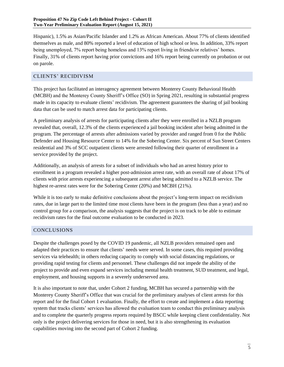Hispanic), 1.5% as Asian/Pacific Islander and 1.2% as African American. About 77% of clients identified themselves as male, and 80% reported a level of education of high school or less. In addition, 33% report being unemployed, 7% report being homeless and 13% report living in friends/or relatives' homes. Finally, 31% of clients report having prior convictions and 16% report being currently on probation or out on parole.

## <span id="page-5-0"></span>CLIENTS' RECIDIVISM

This project has facilitated an interagency agreement between Monterey County Behavioral Health (MCBH) and the Monterey County Sheriff's Office (SO) in Spring 2021, resulting in substantial progress made in its capacity to evaluate clients' recidivism. The agreement guarantees the sharing of jail booking data that can be used to match arrest data for participating clients.

A preliminary analysis of arrests for participating clients after they were enrolled in a NZLB program revealed that, overall, 12.3% of the clients experienced a jail booking incident after being admitted in the program. The percentage of arrests after admissions varied by provider and ranged from 0 for the Public Defender and Housing Resource Center to 14% for the Sobering Center. Six percent of Sun Street Centers residential and 3% of SCC outpatient clients were arrested following their quarter of enrollment in a service provided by the project.

Additionally, an analysis of arrests for a subset of individuals who had an arrest history prior to enrollment in a program revealed a higher post-admission arrest rate, with an overall rate of about 17% of clients with prior arrests experiencing a subsequent arrest after being admitted to a NZLB service. The highest re-arrest rates were for the Sobering Center (20%) and MCBH (21%).

While it is too early to make definitive conclusions about the project's long-term impact on recidivism rates, due in large part to the limited time most clients have been in the program (less than a year) and no control group for a comparison, the analysis suggests that the project is on track to be able to estimate recidivism rates for the final outcome evaluation to be conducted in 2023.

## <span id="page-5-1"></span>CONCLUSIONS

Despite the challenges posed by the COVID 19 pandemic, all NZLB providers remained open and adapted their practices to ensure that clients' needs were served. In some cases, this required providing services via telehealth; in others reducing capacity to comply with social distancing regulations, or providing rapid testing for clients and personnel. These challenges did not impede the ability of the project to provide and even expand services including mental health treatment, SUD treatment, and legal, employment, and housing supports in a severely underserved area.

It is also important to note that, under Cohort 2 funding, MCBH has secured a partnership with the Monterey County Sheriff's Office that was crucial for the preliminary analyses of client arrests for this report and for the final Cohort 1 evaluation. Finally, the effort to create and implement a data reporting system that tracks clients' services has allowed the evaluation team to conduct this preliminary analysis and to complete the quarterly progress reports required by BSCC while keeping client confidentiality. Not only is the project delivering services for those in need, but it is also strengthening its evaluation capabilities moving into the second part of Cohort 2 funding.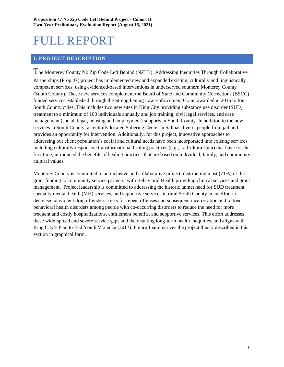# FULL REPORT

## <span id="page-6-0"></span>**I. PROJECT DESCRIPTION**

The Monterey County No Zip Code Left Behind (NZLB): Addressing Inequities Through Collaborative Partnerships (Prop 47) project has implemented new and expanded existing, culturally and linguistically competent services, using evidenced-based interventions in underserved southern Monterey County (South County). These new services complement the Board of State and Community Corrections (BSCC) funded services established through the Strengthening Law Enforcement Grant, awarded in 2016 to four South County cities. This includes two new sites in King City providing substance use disorder (SUD) treatment to a minimum of 100 individuals annually and job training, civil legal services, and case management (social, legal, housing and employment) supports in South County. In addition to the new services in South County, a centrally located Sobering Center in Salinas diverts people from jail and provides an opportunity for intervention. Additionally, for this project, innovative approaches to addressing our client population's social and cultural needs have been incorporated into existing services including culturally responsive transformational healing practices (e.g., La Cultura Cura) that have for the first time, introduced the benefits of healing practices that are based on individual, family, and community cultural values.

Monterey County is committed to an inclusive and collaborative project, distributing most (71%) of the grant funding to community service partners; with Behavioral Health providing clinical services and grant management. Project leadership is committed to addressing the historic unmet need for SUD treatment, specialty mental health (MH) services, and supportive services in rural South County in an effort to decrease nonviolent drug offenders' risks for repeat offenses and subsequent incarceration and to treat behavioral health disorders among people with co-occurring disorders to reduce the need for more frequent and costly hospitalizations, entitlement benefits, and supportive services. This effort addresses these wide-spread and severe service gaps and the resulting long-term health inequities, and aligns with King City's Plan to End Youth Violence (2017). Figure 1 summarizes the project theory described in this section in graphical form.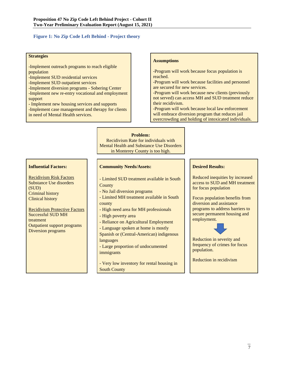#### <span id="page-7-0"></span>**Figure 1: No Zip Code Left Behind - Project theory**

#### **Strategies**

- -Implement outreach programs to reach eligible population
- -Implement SUD residential services
- -Implement SUD outpatient services
- -Implement diversion programs Sobering Center -Implement new re-entry vocational and employment support
- Implement new housing services and supports -Implement case management and therapy for clients in need of Mental Health services.

#### **Assumptions**

-Program will work because focus population is reached.

-Program will work because facilities and personnel are secured for new services.

-Program will work because new clients (previously not served) can access MH and SUD treatment reduce their recidivism.

-Program will work because local law enforcement will embrace diversion program that reduces jail overcrowding and holding of intoxicated individuals.

#### **Problem:**

Recidivism Rate for individuals with Mental Health and Substance Use Disorders in Monterey County is too high.

#### **Influential Factors:**

Recidivism Risk Factors Substance Use disorders (SUD) Criminal history Clinical history

Recidivism Protective Factors Successful SUD MH treatment Outpatient support programs Diversion programs

#### **Community Needs/Assets:**

- Limited SUD treatment available in South **County** 

- No Jail diversion programs
- Limited MH treatment available in South county
- High need area for MH professionals
- High poverty area
- Reliance on Agricultural Employment

- Language spoken at home is mostly Spanish or (Central-American) indigenous languages

- Large proportion of undocumented immigrants

- Very low inventory for rental housing in South County

#### **Desired Results:**

Reduced inequities by increased access to SUD and MH treatment for focus population

Focus population benefits from diversion and assistance programs to address barriers to secure permanent housing and employment.



Reduction in severity and frequency of crimes for focus population.

Reduction in recidivism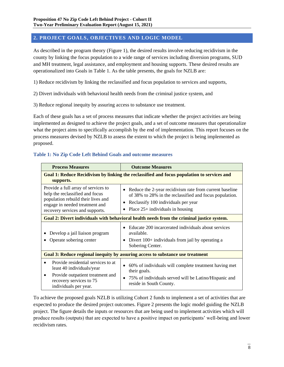## <span id="page-8-0"></span>**2. PROJECT GOALS, OBJECTIVES AND LOGIC MODEL**

As described in the program theory (Figure 1), the desired results involve reducing recidivism in the county by linking the focus population to a wide range of services including diversion programs, SUD and MH treatment, legal assistance, and employment and housing supports. These desired results are operationalized into Goals in Table 1. As the table presents, the goals for NZLB are:

1) Reduce recidivism by linking the reclassified and focus population to services and supports,

2) Divert individuals with behavioral health needs from the criminal justice system, and

3) Reduce regional inequity by assuring access to substance use treatment.

Each of these goals has a set of process measures that indicate whether the project activities are being implemented as designed to achieve the project goals, and a set of outcome measures that operationalize what the project aims to specifically accomplish by the end of implementation. This report focuses on the process measures devised by NZLB to assess the extent to which the project is being implemented as proposed.

<span id="page-8-1"></span>

| Table 1: No Zip Code Left Behind Goals and outcome measures |
|-------------------------------------------------------------|
|-------------------------------------------------------------|

| <b>Process Measures</b>                                                                                                                                                           | <b>Outcome Measures</b>                                                                                                                                                                         |
|-----------------------------------------------------------------------------------------------------------------------------------------------------------------------------------|-------------------------------------------------------------------------------------------------------------------------------------------------------------------------------------------------|
| supports.                                                                                                                                                                         | Goal 1: Reduce Recidivism by linking the reclassified and focus population to services and                                                                                                      |
| Provide a full array of services to<br>help the reclassified and focus<br>population rebuild their lives and<br>engage in needed treatment and<br>recovery services and supports. | Reduce the 2-year recidivism rate from current baseline<br>of 38% to 28% in the reclassified and focus population.<br>Reclassify 100 individuals per year<br>Place $25+$ individuals in housing |
|                                                                                                                                                                                   | Goal 2: Divert individuals with behavioral health needs from the criminal justice system.                                                                                                       |
| Develop a jail liaison program<br>Operate sobering center                                                                                                                         | Educate 200 incarcerated individuals about services<br>available.<br>Divert 100+ individuals from jail by operating a<br>Sobering Center.                                                       |
|                                                                                                                                                                                   | Goal 3: Reduce regional inequity by assuring access to substance use treatment                                                                                                                  |
| Provide residential services to at<br>$\bullet$<br>least 40 individuals/year<br>Provide outpatient treatment and<br>$\bullet$<br>recovery services to 75<br>individuals per year. | 60% of individuals will complete treatment having met<br>their goals.<br>75% of individuals served will be Latino/Hispanic and<br>$\bullet$<br>reside in South County.                          |

To achieve the proposed goals NZLB is utilizing Cohort 2 funds to implement a set of activities that are expected to produce the desired project outcomes. Figure 2 presents the logic model guiding the NZLB project. The figure details the inputs or resources that are being used to implement activities which will produce results (outputs) that are expected to have a positive impact on participants' well-being and lower recidivism rates.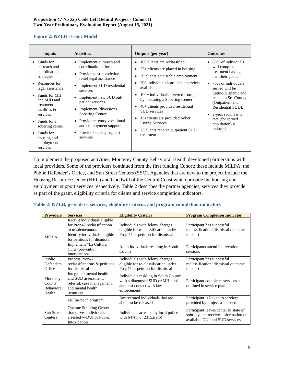#### <span id="page-9-1"></span>**Figure 2: NZLB - Logic Model**

| <b>Inputs</b>                                                                                                                                                                                                                                                                                                                 | <b>Activities</b>                                                                                                                                                                                                                                                                                                                                                                                          | <b>Outputs</b> (per year)                                                                                                                                                                                                                                                                                                                                                                        | <b>Outcomes</b>                                                                                                                                                                                                                                                                   |
|-------------------------------------------------------------------------------------------------------------------------------------------------------------------------------------------------------------------------------------------------------------------------------------------------------------------------------|------------------------------------------------------------------------------------------------------------------------------------------------------------------------------------------------------------------------------------------------------------------------------------------------------------------------------------------------------------------------------------------------------------|--------------------------------------------------------------------------------------------------------------------------------------------------------------------------------------------------------------------------------------------------------------------------------------------------------------------------------------------------------------------------------------------------|-----------------------------------------------------------------------------------------------------------------------------------------------------------------------------------------------------------------------------------------------------------------------------------|
| $\bullet$ Funds for<br>outreach and<br>coordination<br>strategies<br>Resources for<br>$\bullet$<br>legal assistance<br>Funds for MH<br>$\bullet$<br>and SUD and<br>treatment<br>facilities $\&$<br>services<br>Funds for a<br>$\bullet$<br>sobering center<br>Funds for<br>$\bullet$<br>housing and<br>employment<br>services | Implement outreach and<br>coordination efforts<br>Provide post-conviction<br>$\bullet$<br>relief legal assistance<br>Implement SUD residential<br>$\bullet$<br>services<br>Implement new SUD out-<br>$\bullet$<br>patient services<br>Implement (diversion)<br>$\bullet$<br>Sobering Center<br>Provide re-entry vocational<br>$\bullet$<br>and employment support<br>• Provide housing support<br>services | 100 clients are reclassified<br>$25+$ clients are placed in housing<br>30 clients gain stable employment<br>200 individuals learn about services<br>available<br>100+ individuals diverted from jail<br>by operating a Sobering Center<br>40+ clients provided residential<br>SUD services<br>15+clients are provided Sober<br>Living Services<br>75 clients receive outpatient SUD<br>treatment | 60% of individuals<br>will complete<br>treatment having<br>met their goals.<br>75% of individuals<br>served will be<br>Latino/Hispanic and<br>reside in So. County<br>(Outpatient and<br>Residential SUD).<br>2-year recidivism<br>rate (for served<br>population) is<br>reduced. |

To implement the proposed activities, Monterey County Behavioral Health developed partnerships with local providers. Some of the providers continued from the first funding Cohort; these include MILPA, the Public Defender's Office, and Sun Street Centers (SSC). Agencies that are new to the project include the Housing Resource Center (HRC) and Goodwill of the Central Coast which provide the housing and employment support services respectively. Table 2 describes the partner agencies, services they provide as part of the grant, eligibility criteria for clients and service completion indicators.

#### <span id="page-9-0"></span>**Table 2: NZLB, providers, services, eligibility criteria, and program completion indicators**

| <b>Providers</b>                           | <b>Services</b>                                                                                                                                  | <b>Eligibility Criteria</b>                                                                                          | <b>Program Completion Indicator</b>                                                                             |
|--------------------------------------------|--------------------------------------------------------------------------------------------------------------------------------------------------|----------------------------------------------------------------------------------------------------------------------|-----------------------------------------------------------------------------------------------------------------|
| <b>MILPA</b>                               | Recruit individuals eligible<br>for Prop47 reclassification<br>to misdemeanors.<br>Identify individuals eligible<br>for petitions for dismissal. | Individuals with felony charges<br>eligible for re-classification under<br>Prop 47 or petition for dismissal         | Participant has successful<br>reclassification/dismissal outcome<br>in court                                    |
|                                            | Implement "La Cultura"<br>Cura" prevention<br>interventions                                                                                      | Adult individuals residing in South<br>County                                                                        | Participants attend intervention<br>sessions                                                                    |
| Public                                     | Process Prop47                                                                                                                                   | Individuals with felony charges                                                                                      | Participant has successful                                                                                      |
| Defenders                                  | reclassifications & petitions                                                                                                                    | eligible for re-classification under                                                                                 | reclassification/dismissal outcome                                                                              |
| Office                                     | for dismissal                                                                                                                                    | Prop47 or petition for dismissal                                                                                     | in court                                                                                                        |
| Monterey<br>County<br>Behavioral<br>Health | Integrated mental health<br>and SUD assessment,<br>referral, case management,<br>and mental health<br>treatment.                                 | Individuals residing in South County<br>with a diagnosed SUD or MH need<br>and past contact with law<br>enforcement. | Participant completes services as<br>outlined in service plan.                                                  |
|                                            | Jail In-reach program                                                                                                                            | Incarcerated individuals that are<br>about to be released                                                            | Participant is linked to services<br>provided by project as needed.                                             |
| Sun Street<br><b>Centers</b>               | <b>Operate Sobering Center</b><br>that serves individuals<br>arrested w/DUI or Public<br>Intoxication                                            | Individuals arrested by local police<br>with $647(f)$ or $23152(a/b)$                                                | Participant leaves center in state of<br>sobriety and receives information on<br>available DUI and SUD services |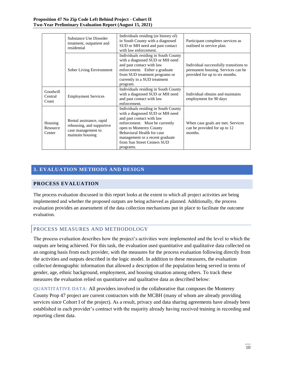|                               | Substance Use Disorder<br>treatment, outpatient and<br>residential                              | Individuals residing (or history of)<br>in South County with a diagnosed<br>SUD or MH need and past contact<br>with law enforcement.                                                                                                                                           | Participant completes services as<br>outlined in service plan.                                                 |
|-------------------------------|-------------------------------------------------------------------------------------------------|--------------------------------------------------------------------------------------------------------------------------------------------------------------------------------------------------------------------------------------------------------------------------------|----------------------------------------------------------------------------------------------------------------|
|                               | Sober Living Environment                                                                        | Individuals residing in South County<br>with a diagnosed SUD or MH need<br>and past contact with law<br>enforcement. Either a graduate<br>from SUD treatment programs or<br>currently in a SUD treatment<br>program.                                                           | Individual successfully transitions to<br>permanent housing. Services can be<br>provided for up to six months. |
| Goodwill<br>Central<br>Coast  | <b>Employment Services</b>                                                                      | Individuals residing in South County<br>with a diagnosed SUD or MH need<br>and past contact with law<br>enforcement.                                                                                                                                                           | Individual obtains and maintains<br>employment for 90 days                                                     |
| Housing<br>Resource<br>Center | Rental assistance, rapid<br>rehousing, and supportive<br>case management to<br>maintain housing | Individuals residing in South County<br>with a diagnosed SUD or MH need<br>and past contact with law<br>enforcement. Must be currently<br>open to Monterey County<br>Behavioral Health for case<br>management or a recent graduate<br>from Sun Street Centers SUD<br>programs. | When case goals are met. Services<br>can be provided for up to 12<br>months.                                   |

# <span id="page-10-0"></span>**3. EVALUATION METHODS AND DESIGN**

## <span id="page-10-1"></span>**PROCESS EVALUATION**

The process evaluation discussed in this report looks at the extent to which all project activities are being implemented and whether the proposed outputs are being achieved as planned. Additionally, the process evaluation provides an assessment of the data collection mechanisms put in place to facilitate the outcome evaluation.

## <span id="page-10-2"></span>PROCESS MEASURES AND METHODOLOGY

The process evaluation describes how the project's activities were implemented and the level to which the outputs are being achieved. For this task, the evaluation used quantitative and qualitative data collected on an ongoing basis from each provider, with the measures for the process evaluation following directly from the activities and outputs described in the logic model. In addition to these measures, the evaluation collected demographic information that allowed a description of the population being served in terms of gender, age, ethnic background, employment, and housing situation among others. To track these measures the evaluation relied on quantitative and qualitative data as described below:

QUANTITATIVE DATA: All providers involved in the collaborative that composes the Monterey County Prop 47 project are current contractors with the MCBH (many of whom are already providing services since Cohort I of the project). As a result, privacy and data sharing agreements have already been established in each provider's contract with the majority already having received training in recording and reporting client data.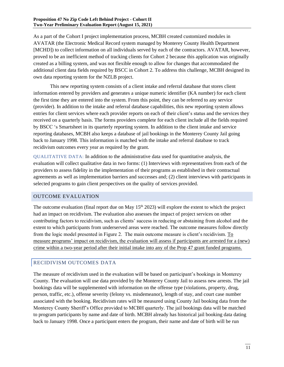As a part of the Cohort I project implementation process, MCBH created customized modules in AVATAR (the Electronic Medical Record system managed by Monterey County Health Department [MCHD]) to collect information on all individuals served by each of the contractors. AVATAR, however, proved to be an inefficient method of tracking clients for Cohort 2 because this application was originally created as a billing system, and was not flexible enough to allow for changes that accommodated the additional client data fields required by BSCC in Cohort 2. To address this challenge, MCBH designed its own data reporting system for the NZLB project.

This new reporting system consists of a client intake and referral database that stores client information entered by providers and generates a unique numeric identifier (KA number) for each client the first time they are entered into the system. From this point, they can be referred to any service (provider). In addition to the intake and referral database capabilities, this new reporting system allows entries for client services where each provider reports on each of their client's status and the services they received on a quarterly basis. The forms providers complete for each client include all the fields required by BSCC 's Smartsheet in its quarterly reporting system. In addition to the client intake and service reporting databases, MCBH also keeps a database of jail bookings in the Monterey County Jail going back to January 1998. This information is matched with the intake and referral database to track recidivism outcomes every year as required by the grant.

QUALITATIVE DATA: In addition to the administrative data used for quantitative analysis, the evaluation will collect qualitative data in two forms: (1) Interviews with representatives from each of the providers to assess fidelity in the implementation of their programs as established in their contractual agreements as well as implementation barriers and successes and; (2) client interviews with participants in selected programs to gain client perspectives on the quality of services provided.

## <span id="page-11-0"></span>OUTCOME EVALUATION

The outcome evaluation (final report due on May  $15<sup>th</sup> 2023$ ) will explore the extent to which the project had an impact on recidivism. The evaluation also assesses the impact of project services on other contributing factors to recidivism, such as clients' success in reducing or abstaining from alcohol and the extent to which participants from underserved areas were reached. The outcome measures follow directly from the logic model presented in Figure 2. The main outcome measure is client's recidivism. To measure programs' impact on recidivism, the evaluation will assess if participants are arrested for a (new) crime within a two-year period after their initial intake into any of the Prop 47 grant funded programs.

## <span id="page-11-1"></span>RECIDIVISM OUTCOMES DATA

The measure of recidivism used in the evaluation will be based on participant's bookings in Monterey County. The evaluation will use data provided by the Monterey County Jail to assess new arrests. The jail bookings data will be supplemented with information on the offense type (violations, property, drug, person, traffic, etc.), offense severity (felony vs. misdemeanor), length of stay, and court case number associated with the booking. Recidivism rates will be measured using County Jail booking data from the Monterey County Sheriff's Office provided to MCBH quarterly. The jail bookings data will be matched to program participants by name and date of birth. MCBH already has historical jail booking data dating back to January 1998. Once a participant enters the program, their name and date of birth will be run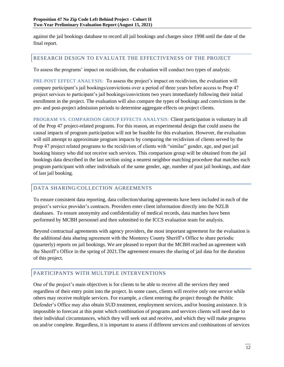against the jail bookings database to record all jail bookings and charges since 1998 until the date of the final report.

## <span id="page-12-0"></span>RESEARCH DESIGN TO EVALUATE THE EFFECTIVENESS OF THE PROJECT

To assess the programs' impact on recidivism, the evaluation will conduct two types of analysis:

PRE-POST EFFECT ANALYSIS: To assess the project's impact on recidivism, the evaluation will compare participant's jail bookings/convictions over a period of three years before access to Prop 47 project services to participant's jail bookings/convictions two years immediately following their initial enrollment in the project. The evaluation will also compare the types of bookings and convictions in the pre- and post-project admission periods to determine aggregate effects on project clients.

PROGRAM VS. COMPARISON GROUP EFFECTS ANALYSIS: Client participation is voluntary in all of the Prop 47 project-related programs. For this reason, an experimental design that could assess the causal impacts of program participation will not be feasible for this evaluation. However, the evaluation will still attempt to approximate program impacts by comparing the recidivism of clients served by the Prop 47 project related programs to the recidivism of clients with "similar" gender, age, and past jail booking history who did not receive such services. This comparison group will be obtained from the jail bookings data described in the last section using a nearest neighbor matching procedure that matches each program participant with other individuals of the same gender, age, number of past jail bookings, and date of last jail booking.

## <span id="page-12-1"></span>DATA SHARING/COLLECTION AGREEMENTS

To ensure consistent data reporting, data collection/sharing agreements have been included in each of the project's service provider's contracts. Providers enter client information directly into the NZLB databases. To ensure anonymity and confidentiality of medical records, data matches have been performed by MCBH personnel and then submitted to the ICCS evaluation team for analysis.

Beyond contractual agreements with agency providers, the most important agreement for the evaluation is the additional data sharing agreement with the Monterey County Sheriff's Office to share periodic (quarterly) reports on jail bookings. We are pleased to report that the MCBH reached an agreement with the Sheriff's Office in the spring of 2021.The agreement ensures the sharing of jail data for the duration of this project.

## <span id="page-12-2"></span>PARTICIPANTS WITH MULTIPLE INTERVENTIONS

One of the project's main objectives is for clients to be able to receive all the services they need regardless of their entry point into the project. In some cases, clients will receive only one service while others may receive multiple services. For example, a client entering the project through the Public Defender's Office may also obtain SUD treatment, employment services, and/or housing assistance. It is impossible to forecast at this point which combination of programs and services clients will need due to their individual circumstances, which they will seek out and receive, and which they will make progress on and/or complete. Regardless, it is important to assess if different services and combinations of services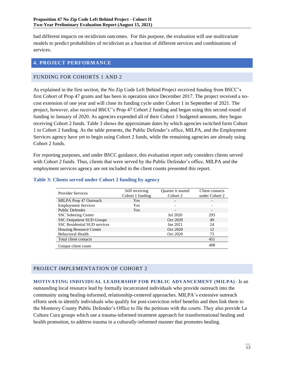had different impacts on recidivism outcomes. For this purpose, the evaluation will use multivariate models to predict probabilities of recidivism as a function of different services and combinations of services.

## <span id="page-13-0"></span>**4. PROJECT PERFORMANCE**

## <span id="page-13-1"></span>FUNDING FOR COHORTS 1 AND 2

As explained in the first section, the No Zip Code Left Behind Project received funding from BSCC's first Cohort of Prop 47 grants and has been in operation since December 2017. The project received a nocost extension of one year and will close its funding cycle under Cohort 1 in September of 2021. The project, however, also received BSCC's Prop 47 Cohort 2 funding and began using this second round of funding in January of 2020. As agencies expended all of their Cohort 1 budgeted amounts, they began receiving Cohort 2 funds. Table 3 shows the approximate dates by which agencies switched form Cohort 1 to Cohort 2 funding. As the table presents, the Public Defender's office, MILPA, and the Employment Services agency have yet to begin using Cohort 2 funds, while the remaining agencies are already using Cohort 2 funds.

For reporting purposes, and under BSCC guidance, this evaluation report only considers clients served with Cohort 2 funds. Thus, clients that were served by the Public Defender's office, MILPA and the employment services agency are not included in the client counts presented this report.

| <b>Provider Services</b>            | Still receiving<br>Cohort 1 funding | Quarter it started<br>Cohort 2 | Client contacts<br>under Cohort 2 |
|-------------------------------------|-------------------------------------|--------------------------------|-----------------------------------|
| MILPA Prop 47 Outreach              | Yes                                 |                                |                                   |
| <b>Employment Services</b>          | Yes                                 |                                |                                   |
| Public Defender                     | <b>Yes</b>                          | -                              |                                   |
| <b>SSC Sobering Center</b>          |                                     | Jul 2020                       | 293                               |
| <b>SSC Outpatient SUD Groups</b>    |                                     | Oct 2020                       | 49                                |
| <b>SSC Residential SUD services</b> |                                     | Jan 2021                       | 24                                |
| <b>Housing Resource Center</b>      |                                     | Oct 2020                       | 12                                |
| <b>Behavioral Health</b>            |                                     | Oct 2020                       | 73                                |
| Total client contacts               |                                     |                                | 451                               |
| Unique client count                 |                                     |                                | 408                               |

### <span id="page-13-4"></span>**Table 3: Clients served under Cohort 2 funding by agency**

# <span id="page-13-2"></span>PROJECT IMPLEMENTATION OF COHORT 2

<span id="page-13-3"></span>**MOTIVATING INDIVIDUAL LEADERSHIP FOR PUBLIC ADVANCEMENT (MILPA)**- Is an outstanding local resource lead by formally incarcerated individuals who provide outreach into the community using healing-informed, relationship-centered approaches. MILPA's extensive outreach efforts seek to identify individuals who qualify for post-conviction relief benefits and then link them to the Monterey County Public Defender's Office to file the petitions with the courts. They also provide La Cultura Cura groups which use a trauma-informed treatment approach for transformational healing and health promotion, to address trauma in a culturally-informed manner that promotes healing.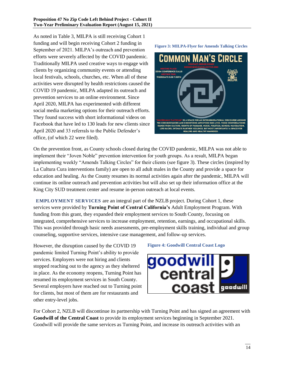As noted in Table 3, MILPA is still receiving Cohort 1 funding and will begin receiving Cohort 2 funding in September of 2021. MILPA's outreach and prevention efforts were severely affected by the COVID pandemic. Traditionally MILPA used creative ways to engage with clients by organizing community events or attending local festivals, schools, churches, etc. When all of these activities were disrupted by health restrictions caused the COVID 19 pandemic, MILPA adapted its outreach and prevention services to an online environment. Since April 2020, MILPA has experimented with different social media marketing options for their outreach efforts. They found success with short informational videos on Facebook that have led to 130 leads for new clients since April 2020 and 33 referrals to the Public Defender's office, (of which 22 were filed).



On the prevention front, as County schools closed during the COVID pandemic, MILPA was not able to implement their "Joven Noble" prevention intervention for youth groups. As a result, MILPA began implementing weekly "Amends Talking Circles" for their clients (see figure 3). These circles (inspired by La Cultura Cura interventions family) are open to all adult males in the County and provide a space for education and healing. As the County resumes its normal activities again after the pandemic, MILPA will continue its online outreach and prevention activities but will also set up their information office at the King City SUD treatment center and resume in-person outreach at local events.

 **EMPLOYMENT SERVICES** are an integral part of the NZLB project. During Cohort 1, these services were provided by **Turning Point of Central California's** Adult Employment Program. With funding from this grant, they expanded their employment services to South County, focusing on integrated, comprehensive services to increase employment, retention, earnings, and occupational skills. This was provided through basic needs assessments, pre-employment skills training, individual and group counseling, supportive services, intensive case management, and follow-up services.

However, the disruption caused by the COVID 19 pandemic limited Turning Point's ability to provide services. Employers were not hiring and clients stopped reaching out to the agency as they sheltered in place. As the economy reopens, Turning Point has resumed its employment services in South County. Several employers have reached out to Turning point for clients, but most of them are for restaurants and other entry-level jobs.

#### **Figure 4: Goodwill Central Coast Logo**



For Cohort 2, NZLB will discontinue its partnership with Turning Point and has signed an agreement with **Goodwill of the Central Coast** to provide its employment services beginning in September 2021. Goodwill will provide the same services as Turning Point, and increase its outreach activities with an

#### **Figure 3: MILPA-Flyer for Amends Talking Circles**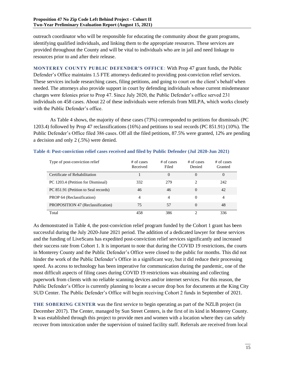outreach coordinator who will be responsible for educating the community about the grant programs, identifying qualified individuals, and linking them to the appropriate resources. These services are provided throughout the County and will be vital to individuals who are in jail and need linkage to resources prior to and after their release.

<span id="page-15-0"></span>**MONTEREY COUNTY PUBLIC DEFENDER'S OFFICE**: With Prop 47 grant funds, the Public Defender's Office maintains 1.5 FTE attorneys dedicated to providing post-conviction relief services. These services include researching cases, filing petitions, and going to court on the client's behalf when needed. The attorneys also provide support in court by defending individuals whose current misdemeanor charges were felonies prior to Prop 47. Since July 2020, the Public Defender's office served 231 individuals on 458 cases. About 22 of these individuals were referrals from MILPA, which works closely with the Public Defender's office.

As Table 4 shows, the majority of these cases (73%) corresponded to petitions for dismissals (PC 1203.4) followed by Prop 47 reclassifications (16%) and petitions to seal records (PC 851.91) (10%). The Public Defender's Office filed 386 cases. Off all the filed petitions, 87.5% were granted, 12% are pending a decision and only 2 (.5%) were denied.

| Type of post-conviction relief       | # of cases<br>Received | $#$ of cases<br>Filed | $#$ of cases<br>Denied | # of cases<br>Granted |
|--------------------------------------|------------------------|-----------------------|------------------------|-----------------------|
| Certificate of Rehabilitation        |                        | $\Omega$              |                        | 0                     |
| PC 1203.4 (Petition for Dismissal)   | 332                    | 279                   | $\mathfrak{D}$         | 242                   |
| PC 851.91 (Petition to Seal records) | 46                     | 46                    | $\Omega$               | 42                    |
| PROP 64 (Reclassification)           | 4                      | 4                     | $\Omega$               | 4                     |
| PROPOSITION 47 (Reclassification)    | 75                     | 57                    | $\Omega$               | 48                    |
| Total                                | 458                    | 386                   | ↑                      | 336                   |

#### <span id="page-15-2"></span>**Table 4: Post-conviction relief cases received and filed by Public Defender (Jul 2020-Jun 2021)**

As demonstrated in Table 4, the post-conviction relief program funded by the Cohort 1 grant has been successful during the July 2020-June 2021 period. The addition of a dedicated lawyer for these services and the funding of LiveScans has expedited post-conviction relief services significantly and increased their success rate from Cohort 1. It is important to note that during the COVID 19 restrictions, the courts in Monterey County and the Public Defender's Office were closed to the public for months. This did not hinder the work of the Public Defender's Office in a significant way, but it did reduce their processing speed. As access to technology has been imperative for communication during the pandemic, one of the most difficult aspects of filing cases during COVID 19 restrictions was obtaining and collecting paperwork from clients with no reliable scanning devices and/or internet services. For this reason, the Public Defender's Office is currently planning to locate a secure drop box for documents at the King City SUD Center. The Public Defender's Office will begin receiving Cohort 2 funds in September of 2021.

<span id="page-15-1"></span>**THE SOBERING CENTER** was the first service to begin operating as part of the NZLB project (in December 2017). The Center, managed by Sun Street Centers, is the first of its kind in Monterey County. It was established through this project to provide men and women with a location where they can safely recover from intoxication under the supervision of trained facility staff. Referrals are received from local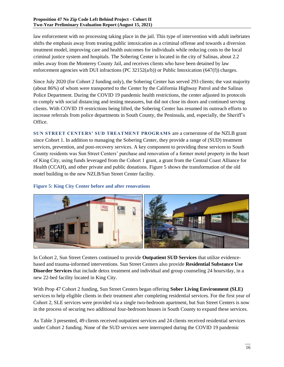law enforcement with no processing taking place in the jail. This type of intervention with adult inebriates shifts the emphasis away from treating public intoxication as a criminal offense and towards a diversion treatment model, improving care and health outcomes for individuals while reducing costs to the local criminal justice system and hospitals. The Sobering Center is located in the city of Salinas, about 2.2 miles away from the Monterey County Jail, and receives clients who have been detained by law enforcement agencies with DUI infractions (PC 32152( $\alpha/b$ )) or Public Intoxication (647(f)) charges.

Since July 2020 (for Cohort 2 funding only), the Sobering Center has served 293 clients; the vast majority (about 86%) of whom were transported to the Center by the California Highway Patrol and the Salinas Police Department. During the COVID 19 pandemic health restrictions, the center adjusted its protocols to comply with social distancing and testing measures, but did not close its doors and continued serving clients. With COVID 19 restrictions being lifted, the Sobering Center has resumed its outreach efforts to increase referrals from police departments in South County, the Peninsula, and, especially, the Sheriff's Office.

<span id="page-16-0"></span>**SUN STREET CENTERS' SUD TREATMENT PROGRAMS** are a cornerstone of the NZLB grant since Cohort 1. In addition to managing the Sobering Center, they provide a range of (SUD) treatment services, prevention, and post-recovery services. A key component to providing these services to South County residents was Sun Street Centers' purchase and renovation of a former motel property in the heart of King City, using funds leveraged from the Cohort 1 grant, a grant from the Central Coast Alliance for Health (CCAH), and other private and public donations. Figure 5 shows the transformation of the old motel building to the new NZLB/Sun Street Center facility.

## <span id="page-16-1"></span>**Figure 5: King City Center before and after renovations**



In Cohort 2, Sun Street Centers continued to provide **Outpatient SUD Services** that utilize evidencebased and trauma-informed interventions. Sun Street Centers also provide **Residential Substance Use Disorder Services** that include detox treatment and individual and group counseling 24 hours/day, in a new 22-bed facility located in King City.

With Prop 47 Cohort 2 funding, Sun Street Centers began offering **Sober Living Environment (SLE)** services to help eligible clients in their treatment after completing residential services. For the first year of Cohort 2, SLE services were provided via a single two-bedroom apartment, but Sun Street Centers is now in the process of securing two additional four-bedroom houses in South County to expand these services.

As Table 3 presented, 49 clients received outpatient services and 24 clients received residential services under Cohort 2 funding. None of the SUD services were interrupted during the COVID 19 pandemic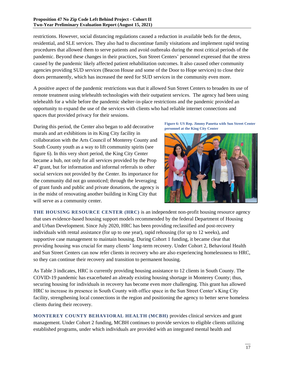restrictions. However, social distancing regulations caused a reduction in available beds for the detox, residential, and SLE services. They also had to discontinue family visitations and implement rapid testing procedures that allowed them to serve patients and avoid outbreaks during the most critical periods of the pandemic. Beyond these changes in their practices, Sun Street Centers' personnel expressed that the stress caused by the pandemic likely affected patient rehabilitation outcomes. It also caused other community agencies providing SUD services (Beacon House and some of the Door to Hope services) to close their doors permanently, which has increased the need for SUD services in the community even more.

A positive aspect of the pandemic restrictions was that it allowed Sun Street Centers to broaden its use of remote treatment using telehealth technologies with their outpatient services. The agency had been using telehealth for a while before the pandemic shelter-in-place restrictions and the pandemic provided an opportunity to expand the use of the services with clients who had reliable internet connections and spaces that provided privacy for their sessions.

During this period, the Center also began to add decorative murals and art exhibitions in its King City facility in collaboration with the Arts Council of Monterey County and South County youth as a way to lift community spirits (see figure 6). In this very short period, the King City Center became a hub, not only for all services provided by the Prop 47 grant, but for information and informal referrals to other social services not provided by the Center. Its importance for the community did not go unnoticed; through the leveraging of grant funds and public and private donations, the agency is in the midst of renovating another building in King City that will serve as a community center.

**Figure 6: US Rep. Jimmy Panetta with Sun Street Center personnel at the King City Center**



<span id="page-17-0"></span>**THE HOUSING RESOURCE CENTER (HRC)** is an independent non-profit housing resource agency that uses evidence-based housing support models recommended by the federal Department of Housing and Urban Development. Since July 2020, HRC has been providing reclassified and post-recovery individuals with rental assistance (for up to one year), rapid rehousing (for up to 12 weeks), and supportive case management to maintain housing. During Cohort 1 funding, it became clear that providing housing was crucial for many clients' long-term recovery. Under Cohort 2, Behavioral Health and Sun Street Centers can now refer clients in recovery who are also experiencing homelessness to HRC, so they can continue their recovery and transition to permanent housing.

As Table 3 indicates, HRC is currently providing housing assistance to 12 clients in South County. The COVID-19 pandemic has exacerbated an already existing housing shortage in Monterey County; thus, securing housing for individuals in recovery has become even more challenging. This grant has allowed HRC to increase its presence in South County with office space in the Sun Street Center's King City facility, strengthening local connections in the region and positioning the agency to better serve homeless clients during their recovery.

<span id="page-17-1"></span>**MONTEREY COUNTY BEHAVIORAL HEALTH (MCBH)** provides clinical services and grant management. Under Cohort 2 funding, MCBH continues to provide services to eligible clients utilizing established programs, under which individuals are provided with an integrated mental health and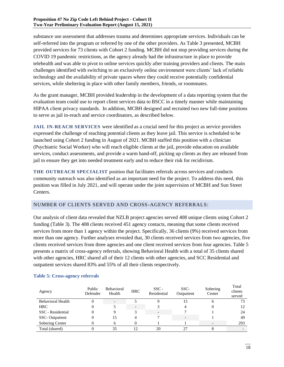substance use assessment that addresses trauma and determines appropriate services. Individuals can be self-referred into the program or referred by one of the other providers. As Table 3 presented, MCBH provided services for 73 clients with Cohort 2 funding. MCBH did not stop providing services during the COVID 19 pandemic restrictions, as the agency already had the infrastructure in place to provide telehealth and was able to pivot to online services quickly after training providers and clients. The main challenges identified with switching to an exclusively online environment were clients' lack of reliable technology and the availability of private spaces where they could receive potentially confidential services, while sheltering in place with other family members, friends, or roommates.

As the grant manager, MCBH provided leadership in the development of a data reporting system that the evaluation team could use to report client services data to BSCC in a timely manner while maintaining HIPAA client privacy standards. In addition, MCBH designed and recruited two new full-time positions to serve as jail in-reach and service coordinators, as described below.

<span id="page-18-0"></span>**JAIL IN-REACH SERVICES** were identified as a crucial need for this project as service providers expressed the challenge of reaching potential clients as they leave jail. This service is scheduled to be launched using Cohort 2 funding in August of 2021. MCBH staffed this position with a clinician (Psychiatric Social Worker) who will reach eligible clients at the jail, provide education on available services, conduct assessments, and provide a warm hand-off, picking up clients as they are released from jail to ensure they get into needed treatment early and to reduce their risk for recidivism.

<span id="page-18-1"></span>**THE OUTREACH SPECIALIST** position that facilitates referrals across services and conducts community outreach was also identified as an important need for the project. To address this need, this position was filled in July 2021, and will operate under the joint supervision of MCBH and Sun Street Centers.

## <span id="page-18-2"></span>NUMBER OF CLIENTS SERVED AND CROSS-AGENCY REFERRALS:

Our analysis of client data revealed that NZLB project agencies served 408 unique clients using Cohort 2 funding (Table 3). The 408 clients received 451 agency contacts, meaning that some clients received services from more than 1 agency within the project. Specifically, 36 clients (9%) received services from more than one agency. Further analyses revealed that, 30 clients received services from two agencies, five clients received services from three agencies and one client received services from four agencies. Table 5 presents a matrix of cross-agency referrals, showing Behavioral Health with a total of 35 clients shared with other agencies, HRC shared all of their 12 clients with other agencies, and SCC Residential and outpatient services shared 83% and 55% of all their clients respectively.

| Agency                   | Public<br>Defender | <b>Behavioral</b><br>Health | <b>HRC</b>               | $SSC -$<br>Residential   | SSC-<br>Outpatient | Sobering<br>Center | Total<br>clients<br>served |
|--------------------------|--------------------|-----------------------------|--------------------------|--------------------------|--------------------|--------------------|----------------------------|
| <b>Behavioral Health</b> |                    |                             |                          |                          | .5                 | n                  | 73                         |
| <b>HRC</b>               |                    |                             | $\overline{\phantom{0}}$ |                          |                    |                    | 12                         |
| SSC - Residential        | 0                  |                             |                          | $\overline{\phantom{0}}$ |                    |                    | 24                         |
| <b>SSC-Outpatient</b>    | 0                  | 15                          |                          |                          |                    |                    | 49                         |
| Sobering Center          |                    |                             |                          |                          |                    |                    | 293                        |
| Total (shared)           |                    | 35                          | 1つ                       | 20                       |                    |                    |                            |

#### <span id="page-18-3"></span>**Table 5: Cross-agency referrals**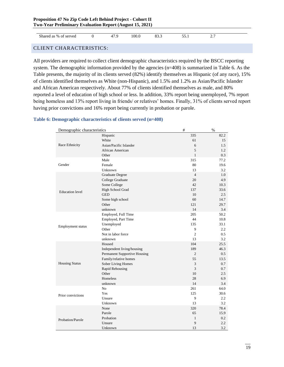| ററ<br>.00.0<br>Shared as % of served<br>.,<br>ບບ.ບ<br>$\overline{\phantom{a}}$<br>,,,<br>_ _ _<br>- - - - |
|-----------------------------------------------------------------------------------------------------------|
|-----------------------------------------------------------------------------------------------------------|

<span id="page-19-0"></span>CLIENT CHARACTERISTICS:

All providers are required to collect client demographic characteristics required by the BSCC reporting system. The demographic information provided by the agencies (n=408) is summarized in Table 6. As the Table presents, the majority of its clients served (82%) identify themselves as Hispanic (of any race), 15% of clients identified themselves as White (non-Hispanic), and 1.5% and 1.2% as Asian/Pacific Islander and African American respectively. About 77% of clients identified themselves as male, and 80% reported a level of education of high school or less. In addition, 33% report being unemployed, 7% report being homeless and 13% report living in friends/ or relatives' homes. Finally, 31% of clients served report having prior convictions and 16% report being currently in probation or parole.

### <span id="page-19-1"></span>**Table 6: Demographic characteristics of clients served (n=408)**

| Demographic characteristics |                              | $\#$           | $\%$          |
|-----------------------------|------------------------------|----------------|---------------|
|                             | Hispanic                     | 335            | 82.2          |
|                             | White                        | 61             | 15            |
| Race Ethnicity              | Asian/Pacific Islander       | 6              | 1.5           |
|                             | African American             | 5              | 1.2           |
|                             | Other                        | $\mathbf{1}$   | 0.3           |
|                             | Male                         | 315            | 77.2          |
| Gender                      | Female                       | 80             | 19.6          |
|                             | Unknown                      | 13             | 3.2           |
|                             | <b>Graduate Degree</b>       | $\overline{4}$ | 1.0           |
|                             | College Graduate             | 20             | 4.9           |
|                             | Some College                 | 42             | 10.3          |
|                             | High School Grad             | 137            | 33.6          |
| <b>Education</b> level      | <b>GED</b>                   | 10             | 2.5           |
|                             | Some high school             | 60             | 14.7          |
|                             | Other                        | 121            | 29.7          |
|                             | unknown                      | 14             | 3.4           |
|                             | Employed, Full Time          | 205            | 50.2          |
|                             | Employed, Part Time          | 44             | 10.8          |
|                             | Unemployed                   | 135            | 33.1          |
| Employment status           | Other                        | 9              | 2.2           |
|                             | Not in labor force           | $\overline{c}$ | 0.5           |
|                             | unknown                      | 13             | 3.2           |
|                             | Housed                       | 104            | 25.5          |
|                             | Independent living/housing   | 189            | 46.3          |
|                             | Permanent Supportive Housing | $\overline{c}$ | $0.5^{\circ}$ |
|                             | Family/relative homes        | 55             | 13.5          |
| <b>Housing Status</b>       | Sober Living Homes           | 3              | 0.7           |
|                             | Rapid Rehousing              | 3              | 0.7           |
|                             | Other                        | 10             | 2.5           |
|                             | Homeless                     | 28             | 6.9           |
|                             | unknown                      | 14             | 3.4           |
|                             | N <sub>0</sub>               | 261            | 64.0          |
| Prior convictions           | Yes                          | 125            | 30.6          |
|                             | Unsure                       | 9              | 2.2           |
|                             | Unknown                      | 13             | 3.2           |
|                             | None                         | 320            | 78.4          |
|                             | Parole                       | 65             | 15.9          |
| Probation/Parole            | Probation                    | $\mathbf{1}$   | 0.2           |
|                             | Unsure                       | 9              | $2.2\,$       |
|                             | Unknown                      | 13             | 3.2           |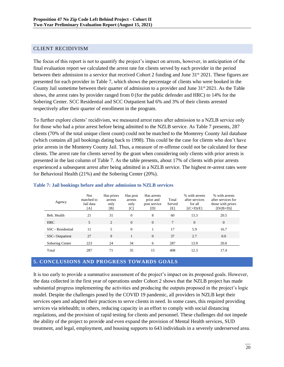### <span id="page-20-0"></span>CLIENT RECIDIVISM

The focus of this report is not to quantify the project's impact on arrests, however, in anticipation of the final evaluation report we calculated the arrest rate for clients served by each provider in the period between their admission to a service that received Cohort 2 funding and June 31<sup>st</sup> 2021. These figures are presented for each provider in Table 7, which shows the percentage of clients who were booked in the County Jail sometime between their quarter of admission to a provider and June 31<sup>st</sup> 2021. As the Table shows, the arrest rates by provider ranged from 0 (for the public defender and HRC) to 14% for the Sobering Center. SCC Residential and SCC Outpatient had 6% and 3% of their clients arrested respectively after their quarter of enrollment in the program.

To further explore clients' recidivism, we measured arrest rates after admission to a NZLB service only for those who had a prior arrest before being admitted to the NZLB service. As Table 7 presents, 287 clients (70% of the total unique client count) could not be matched to the Monterey County Jail database (which contains all jail bookings dating back to 1998). This could be the case for clients who don't have prior arrests in the Monterey County Jail. Thus, a measure of re-offense could not be calculated for these clients. The arrest rate for clients served by the grant when considering only clients with prior arrests is presented in the last column of Table 7. As the table presents, about 17% of clients with prior arrests experienced a subsequent arrest after being admitted in a NZLB service. The highest re-arrest rates were for Behavioral Health (21%) and the Sobering Center (20%).

| Agency                | <b>Not</b><br>matched to<br>Jail data<br>[A] | Has priors<br>arrests<br>only<br>[B] | Has post<br>arrests<br>only<br>[C] | Has arrests<br>prior and<br>post service<br>[D] | Total<br>Served<br>[E] | % with arrests<br>after services<br>for all<br>$[(C+D)/E]$ | % with arrests<br>after services for<br>those with priors<br>$[D/(B+D)]$ |
|-----------------------|----------------------------------------------|--------------------------------------|------------------------------------|-------------------------------------------------|------------------------|------------------------------------------------------------|--------------------------------------------------------------------------|
| Beh. Health           | 21                                           | 31                                   | $\Omega$                           | 8                                               | 60                     | 13.3                                                       | 20.5                                                                     |
| <b>HRC</b>            | 5                                            | 2                                    | $\Omega$                           | $\Omega$                                        | 7                      | $\Omega$                                                   | $\theta$                                                                 |
| SSC - Residential     | 11                                           | 5.                                   | $\Omega$                           |                                                 | 17                     | 5.9                                                        | 16.7                                                                     |
| <b>SSC-Outpatient</b> | 27                                           | 9                                    |                                    | $\Omega$                                        | 37                     | 2.7                                                        | 0.0                                                                      |
| Sobering Center       | 223                                          | 24                                   | 34                                 | 6                                               | 287                    | 13.9                                                       | 20.0                                                                     |
| Total                 | 287                                          | 71                                   | 35                                 | 15                                              | 408                    | 12.3                                                       | 17.4                                                                     |

#### <span id="page-20-2"></span>**Table 7: Jail bookings before and after admission to NZLB services**

#### <span id="page-20-1"></span>**5. CONCLUSIONS AND PROGRESS TOWARDS GOALS**

It is too early to provide a summative assessment of the project's impact on its proposed goals. However, the data collected in the first year of operations under Cohort 2 shows that the NZLB project has made substantial progress implementing the activities and producing the outputs proposed in the project's logic model. Despite the challenges posed by the COVID 19 pandemic, all providers in NZLB kept their services open and adapted their practices to serve clients in need. In some cases, this required providing services via telehealth; in others, reducing capacity in an effort to comply with social distancing regulations, and the provision of rapid testing for clients and personnel. These challenges did not impede the ability of the project to provide and even expand the provision of Mental Health services, SUD treatment, and legal, employment, and housing supports to 643 individuals in a severely underserved area.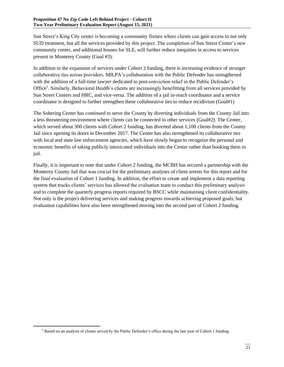Sun Street's King City center is becoming a community fixture where clients can gain access to not only SUD treatment, but all the services provided by this project. The completion of Sun Street Center's new community center, and additional houses for SLE, will further reduce inequities in access to services present in Monterey County (Goal #3).

In addition to the expansion of services under Cohort 2 funding, there is increasing evidence of stronger collaborative ties across providers. MILPA's collaboration with the Public Defender has strengthened with the addition of a full-time lawyer dedicated to post-conviction relief in the Public Defender's Office<sup>1</sup>. Similarly, Behavioral Health's clients are increasingly benefitting from all services provided by Sun Street Centers and HRC, and vice-versa. The addition of a jail in-reach coordinator and a service coordinator is designed to further strengthen these collaborative ties to reduce recidivism (Goal#1)

The Sobering Center has continued to serve the County by diverting individuals from the County Jail into a less threatening environment where clients can be connected to other services (Goal#2). The Center, which served about 300 clients with Cohort 2 funding, has diverted about 1,100 clients from the County Jail since opening its doors in December 2017. The Center has also strengthened its collaborative ties with local and state law enforcement agencies, which have slowly begun to recognize the personal and economic benefits of taking publicly intoxicated individuals into the Center rather than booking them in jail.

Finally, it is important to note that under Cohort 2 funding, the MCBH has secured a partnership with the Monterey County Jail that was crucial for the preliminary analyses of client arrests for this report and for the final evaluation of Cohort 1 funding. In addition, the effort to create and implement a data reporting system that tracks clients' services has allowed the evaluation team to conduct this preliminary analysis and to complete the quarterly progress reports required by BSCC while maintaining client confidentiality. Not only is the project delivering services and making progress towards achieving proposed goals, but evaluation capabilities have also been strengthened moving into the second part of Cohort 2 funding.

 $<sup>1</sup>$  Based on an analysis of clients served by the Public Defender's office during the last year of Cohort 1 funding.</sup>